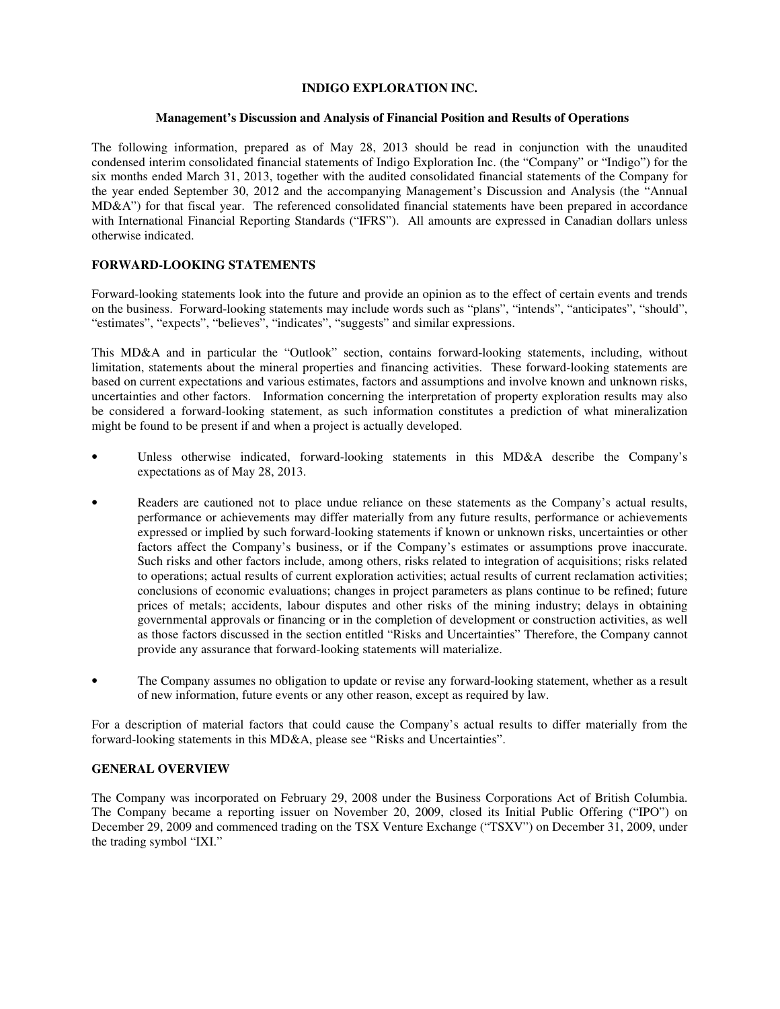# **INDIGO EXPLORATION INC.**

## **Management's Discussion and Analysis of Financial Position and Results of Operations**

The following information, prepared as of May 28, 2013 should be read in conjunction with the unaudited condensed interim consolidated financial statements of Indigo Exploration Inc. (the "Company" or "Indigo") for the six months ended March 31, 2013, together with the audited consolidated financial statements of the Company for the year ended September 30, 2012 and the accompanying Management's Discussion and Analysis (the "Annual MD&A") for that fiscal year. The referenced consolidated financial statements have been prepared in accordance with International Financial Reporting Standards ("IFRS"). All amounts are expressed in Canadian dollars unless otherwise indicated.

# **FORWARD-LOOKING STATEMENTS**

Forward-looking statements look into the future and provide an opinion as to the effect of certain events and trends on the business. Forward-looking statements may include words such as "plans", "intends", "anticipates", "should", "estimates", "expects", "believes", "indicates", "suggests" and similar expressions.

This MD&A and in particular the "Outlook" section, contains forward-looking statements, including, without limitation, statements about the mineral properties and financing activities. These forward-looking statements are based on current expectations and various estimates, factors and assumptions and involve known and unknown risks, uncertainties and other factors. Information concerning the interpretation of property exploration results may also be considered a forward-looking statement, as such information constitutes a prediction of what mineralization might be found to be present if and when a project is actually developed.

- Unless otherwise indicated, forward-looking statements in this MD&A describe the Company's expectations as of May 28, 2013.
- Readers are cautioned not to place undue reliance on these statements as the Company's actual results, performance or achievements may differ materially from any future results, performance or achievements expressed or implied by such forward-looking statements if known or unknown risks, uncertainties or other factors affect the Company's business, or if the Company's estimates or assumptions prove inaccurate. Such risks and other factors include, among others, risks related to integration of acquisitions; risks related to operations; actual results of current exploration activities; actual results of current reclamation activities; conclusions of economic evaluations; changes in project parameters as plans continue to be refined; future prices of metals; accidents, labour disputes and other risks of the mining industry; delays in obtaining governmental approvals or financing or in the completion of development or construction activities, as well as those factors discussed in the section entitled "Risks and Uncertainties" Therefore, the Company cannot provide any assurance that forward-looking statements will materialize.
- The Company assumes no obligation to update or revise any forward-looking statement, whether as a result of new information, future events or any other reason, except as required by law.

For a description of material factors that could cause the Company's actual results to differ materially from the forward-looking statements in this MD&A, please see "Risks and Uncertainties".

## **GENERAL OVERVIEW**

The Company was incorporated on February 29, 2008 under the Business Corporations Act of British Columbia. The Company became a reporting issuer on November 20, 2009, closed its Initial Public Offering ("IPO") on December 29, 2009 and commenced trading on the TSX Venture Exchange ("TSXV") on December 31, 2009, under the trading symbol "IXI."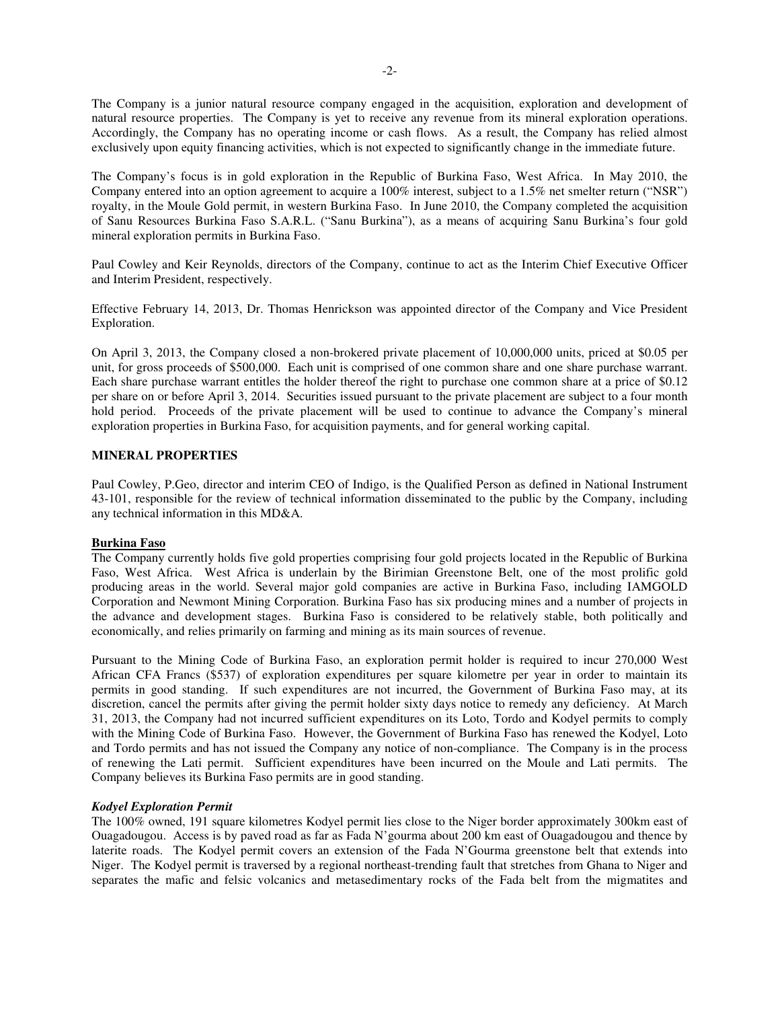The Company is a junior natural resource company engaged in the acquisition, exploration and development of natural resource properties. The Company is yet to receive any revenue from its mineral exploration operations. Accordingly, the Company has no operating income or cash flows. As a result, the Company has relied almost exclusively upon equity financing activities, which is not expected to significantly change in the immediate future.

The Company's focus is in gold exploration in the Republic of Burkina Faso, West Africa. In May 2010, the Company entered into an option agreement to acquire a 100% interest, subject to a 1.5% net smelter return ("NSR") royalty, in the Moule Gold permit, in western Burkina Faso. In June 2010, the Company completed the acquisition of Sanu Resources Burkina Faso S.A.R.L. ("Sanu Burkina"), as a means of acquiring Sanu Burkina's four gold mineral exploration permits in Burkina Faso.

Paul Cowley and Keir Reynolds, directors of the Company, continue to act as the Interim Chief Executive Officer and Interim President, respectively.

Effective February 14, 2013, Dr. Thomas Henrickson was appointed director of the Company and Vice President Exploration.

On April 3, 2013, the Company closed a non-brokered private placement of 10,000,000 units, priced at \$0.05 per unit, for gross proceeds of \$500,000. Each unit is comprised of one common share and one share purchase warrant. Each share purchase warrant entitles the holder thereof the right to purchase one common share at a price of \$0.12 per share on or before April 3, 2014. Securities issued pursuant to the private placement are subject to a four month hold period. Proceeds of the private placement will be used to continue to advance the Company's mineral exploration properties in Burkina Faso, for acquisition payments, and for general working capital.

## **MINERAL PROPERTIES**

Paul Cowley, P.Geo, director and interim CEO of Indigo, is the Qualified Person as defined in National Instrument 43-101, responsible for the review of technical information disseminated to the public by the Company, including any technical information in this MD&A.

## **Burkina Faso**

The Company currently holds five gold properties comprising four gold projects located in the Republic of Burkina Faso, West Africa. West Africa is underlain by the Birimian Greenstone Belt, one of the most prolific gold producing areas in the world. Several major gold companies are active in Burkina Faso, including IAMGOLD Corporation and Newmont Mining Corporation. Burkina Faso has six producing mines and a number of projects in the advance and development stages. Burkina Faso is considered to be relatively stable, both politically and economically, and relies primarily on farming and mining as its main sources of revenue.

Pursuant to the Mining Code of Burkina Faso, an exploration permit holder is required to incur 270,000 West African CFA Francs (\$537) of exploration expenditures per square kilometre per year in order to maintain its permits in good standing. If such expenditures are not incurred, the Government of Burkina Faso may, at its discretion, cancel the permits after giving the permit holder sixty days notice to remedy any deficiency. At March 31, 2013, the Company had not incurred sufficient expenditures on its Loto, Tordo and Kodyel permits to comply with the Mining Code of Burkina Faso. However, the Government of Burkina Faso has renewed the Kodyel, Loto and Tordo permits and has not issued the Company any notice of non-compliance. The Company is in the process of renewing the Lati permit. Sufficient expenditures have been incurred on the Moule and Lati permits. The Company believes its Burkina Faso permits are in good standing.

## *Kodyel Exploration Permit*

The 100% owned, 191 square kilometres Kodyel permit lies close to the Niger border approximately 300km east of Ouagadougou. Access is by paved road as far as Fada N'gourma about 200 km east of Ouagadougou and thence by laterite roads. The Kodyel permit covers an extension of the Fada N'Gourma greenstone belt that extends into Niger. The Kodyel permit is traversed by a regional northeast-trending fault that stretches from Ghana to Niger and separates the mafic and felsic volcanics and metasedimentary rocks of the Fada belt from the migmatites and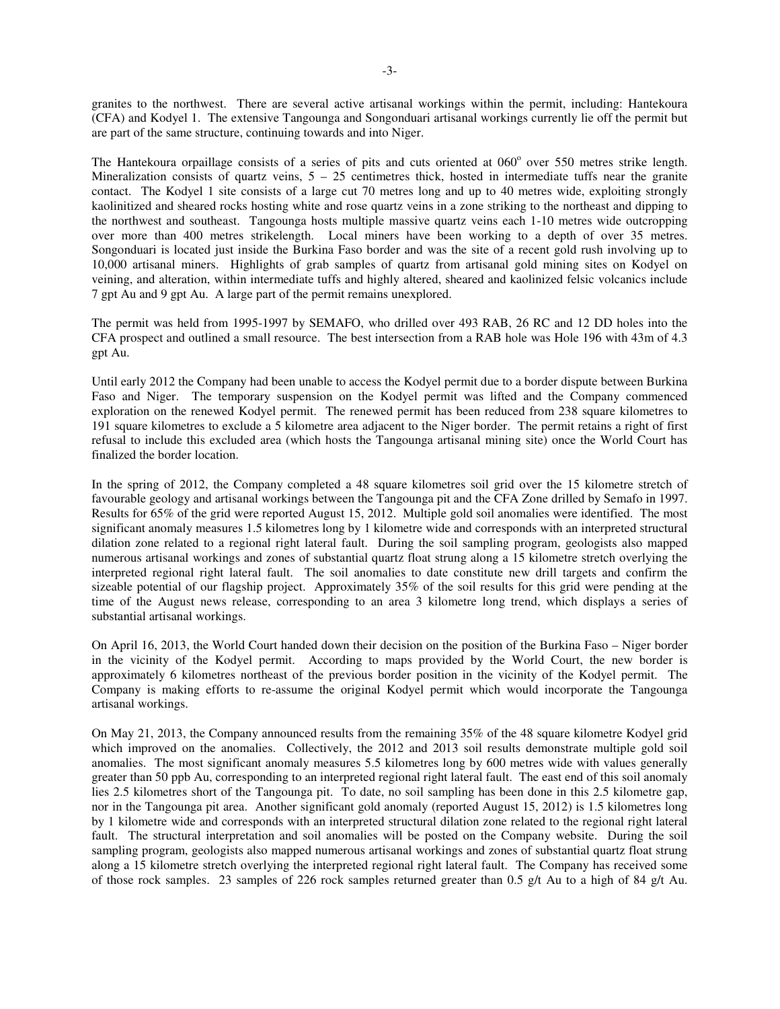granites to the northwest. There are several active artisanal workings within the permit, including: Hantekoura (CFA) and Kodyel 1. The extensive Tangounga and Songonduari artisanal workings currently lie off the permit but are part of the same structure, continuing towards and into Niger.

The Hantekoura orpaillage consists of a series of pits and cuts oriented at 060° over 550 metres strike length. Mineralization consists of quartz veins,  $5 - 25$  centimetres thick, hosted in intermediate tuffs near the granite contact. The Kodyel 1 site consists of a large cut 70 metres long and up to 40 metres wide, exploiting strongly kaolinitized and sheared rocks hosting white and rose quartz veins in a zone striking to the northeast and dipping to the northwest and southeast. Tangounga hosts multiple massive quartz veins each 1-10 metres wide outcropping over more than 400 metres strikelength. Local miners have been working to a depth of over 35 metres. Songonduari is located just inside the Burkina Faso border and was the site of a recent gold rush involving up to 10,000 artisanal miners. Highlights of grab samples of quartz from artisanal gold mining sites on Kodyel on veining, and alteration, within intermediate tuffs and highly altered, sheared and kaolinized felsic volcanics include 7 gpt Au and 9 gpt Au. A large part of the permit remains unexplored.

The permit was held from 1995-1997 by SEMAFO, who drilled over 493 RAB, 26 RC and 12 DD holes into the CFA prospect and outlined a small resource. The best intersection from a RAB hole was Hole 196 with 43m of 4.3 gpt Au.

Until early 2012 the Company had been unable to access the Kodyel permit due to a border dispute between Burkina Faso and Niger. The temporary suspension on the Kodyel permit was lifted and the Company commenced exploration on the renewed Kodyel permit. The renewed permit has been reduced from 238 square kilometres to 191 square kilometres to exclude a 5 kilometre area adjacent to the Niger border. The permit retains a right of first refusal to include this excluded area (which hosts the Tangounga artisanal mining site) once the World Court has finalized the border location.

In the spring of 2012, the Company completed a 48 square kilometres soil grid over the 15 kilometre stretch of favourable geology and artisanal workings between the Tangounga pit and the CFA Zone drilled by Semafo in 1997. Results for 65% of the grid were reported August 15, 2012. Multiple gold soil anomalies were identified. The most significant anomaly measures 1.5 kilometres long by 1 kilometre wide and corresponds with an interpreted structural dilation zone related to a regional right lateral fault. During the soil sampling program, geologists also mapped numerous artisanal workings and zones of substantial quartz float strung along a 15 kilometre stretch overlying the interpreted regional right lateral fault. The soil anomalies to date constitute new drill targets and confirm the sizeable potential of our flagship project. Approximately 35% of the soil results for this grid were pending at the time of the August news release, corresponding to an area 3 kilometre long trend, which displays a series of substantial artisanal workings.

On April 16, 2013, the World Court handed down their decision on the position of the Burkina Faso – Niger border in the vicinity of the Kodyel permit. According to maps provided by the World Court, the new border is approximately 6 kilometres northeast of the previous border position in the vicinity of the Kodyel permit. The Company is making efforts to re-assume the original Kodyel permit which would incorporate the Tangounga artisanal workings.

On May 21, 2013, the Company announced results from the remaining 35% of the 48 square kilometre Kodyel grid which improved on the anomalies. Collectively, the 2012 and 2013 soil results demonstrate multiple gold soil anomalies. The most significant anomaly measures 5.5 kilometres long by 600 metres wide with values generally greater than 50 ppb Au, corresponding to an interpreted regional right lateral fault. The east end of this soil anomaly lies 2.5 kilometres short of the Tangounga pit. To date, no soil sampling has been done in this 2.5 kilometre gap, nor in the Tangounga pit area. Another significant gold anomaly (reported August 15, 2012) is 1.5 kilometres long by 1 kilometre wide and corresponds with an interpreted structural dilation zone related to the regional right lateral fault. The structural interpretation and soil anomalies will be posted on the Company website. During the soil sampling program, geologists also mapped numerous artisanal workings and zones of substantial quartz float strung along a 15 kilometre stretch overlying the interpreted regional right lateral fault. The Company has received some of those rock samples. 23 samples of 226 rock samples returned greater than 0.5 g/t Au to a high of 84 g/t Au.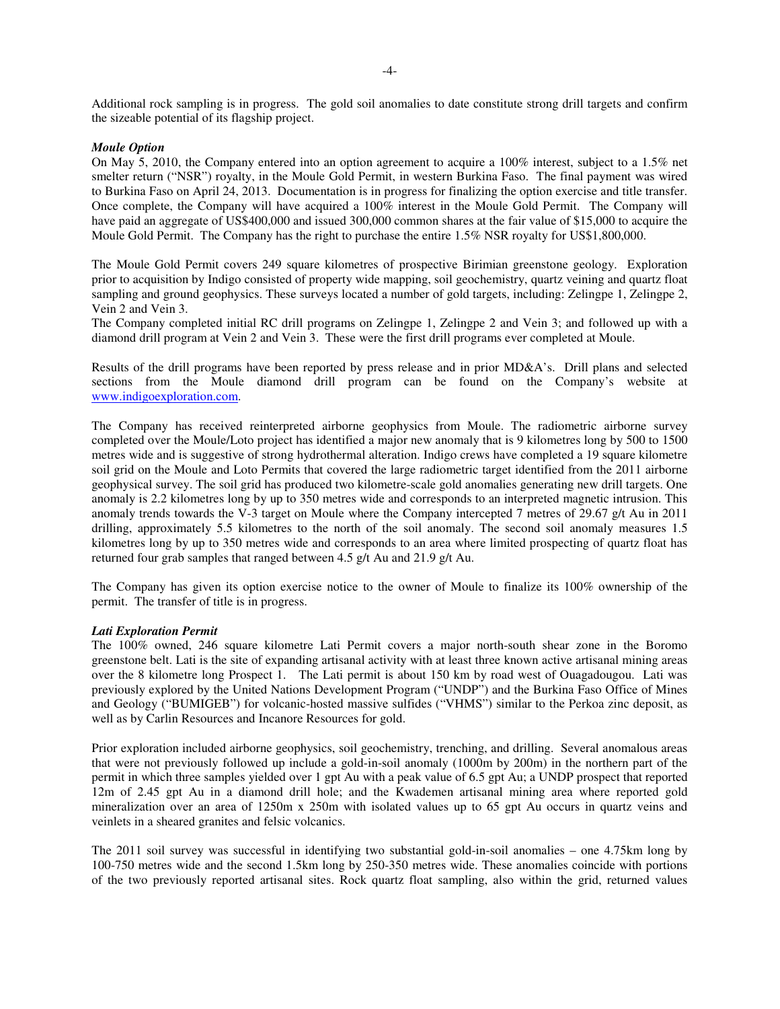Additional rock sampling is in progress. The gold soil anomalies to date constitute strong drill targets and confirm the sizeable potential of its flagship project.

#### *Moule Option*

On May 5, 2010, the Company entered into an option agreement to acquire a 100% interest, subject to a 1.5% net smelter return ("NSR") royalty, in the Moule Gold Permit, in western Burkina Faso. The final payment was wired to Burkina Faso on April 24, 2013. Documentation is in progress for finalizing the option exercise and title transfer. Once complete, the Company will have acquired a 100% interest in the Moule Gold Permit. The Company will have paid an aggregate of US\$400,000 and issued 300,000 common shares at the fair value of \$15,000 to acquire the Moule Gold Permit. The Company has the right to purchase the entire 1.5% NSR royalty for US\$1,800,000.

The Moule Gold Permit covers 249 square kilometres of prospective Birimian greenstone geology. Exploration prior to acquisition by Indigo consisted of property wide mapping, soil geochemistry, quartz veining and quartz float sampling and ground geophysics. These surveys located a number of gold targets, including: Zelingpe 1, Zelingpe 2, Vein 2 and Vein 3.

The Company completed initial RC drill programs on Zelingpe 1, Zelingpe 2 and Vein 3; and followed up with a diamond drill program at Vein 2 and Vein 3. These were the first drill programs ever completed at Moule.

Results of the drill programs have been reported by press release and in prior MD&A's. Drill plans and selected sections from the Moule diamond drill program can be found on the Company's website at www.indigoexploration.com.

The Company has received reinterpreted airborne geophysics from Moule. The radiometric airborne survey completed over the Moule/Loto project has identified a major new anomaly that is 9 kilometres long by 500 to 1500 metres wide and is suggestive of strong hydrothermal alteration. Indigo crews have completed a 19 square kilometre soil grid on the Moule and Loto Permits that covered the large radiometric target identified from the 2011 airborne geophysical survey. The soil grid has produced two kilometre-scale gold anomalies generating new drill targets. One anomaly is 2.2 kilometres long by up to 350 metres wide and corresponds to an interpreted magnetic intrusion. This anomaly trends towards the V-3 target on Moule where the Company intercepted 7 metres of 29.67 g/t Au in 2011 drilling, approximately 5.5 kilometres to the north of the soil anomaly. The second soil anomaly measures 1.5 kilometres long by up to 350 metres wide and corresponds to an area where limited prospecting of quartz float has returned four grab samples that ranged between 4.5 g/t Au and 21.9 g/t Au.

The Company has given its option exercise notice to the owner of Moule to finalize its 100% ownership of the permit. The transfer of title is in progress.

#### *Lati Exploration Permit*

The 100% owned, 246 square kilometre Lati Permit covers a major north-south shear zone in the Boromo greenstone belt. Lati is the site of expanding artisanal activity with at least three known active artisanal mining areas over the 8 kilometre long Prospect 1. The Lati permit is about 150 km by road west of Ouagadougou. Lati was previously explored by the United Nations Development Program ("UNDP") and the Burkina Faso Office of Mines and Geology ("BUMIGEB") for volcanic-hosted massive sulfides ("VHMS") similar to the Perkoa zinc deposit, as well as by Carlin Resources and Incanore Resources for gold.

Prior exploration included airborne geophysics, soil geochemistry, trenching, and drilling. Several anomalous areas that were not previously followed up include a gold-in-soil anomaly (1000m by 200m) in the northern part of the permit in which three samples yielded over 1 gpt Au with a peak value of 6.5 gpt Au; a UNDP prospect that reported 12m of 2.45 gpt Au in a diamond drill hole; and the Kwademen artisanal mining area where reported gold mineralization over an area of 1250m x 250m with isolated values up to 65 gpt Au occurs in quartz veins and veinlets in a sheared granites and felsic volcanics.

The 2011 soil survey was successful in identifying two substantial gold-in-soil anomalies – one 4.75km long by 100-750 metres wide and the second 1.5km long by 250-350 metres wide. These anomalies coincide with portions of the two previously reported artisanal sites. Rock quartz float sampling, also within the grid, returned values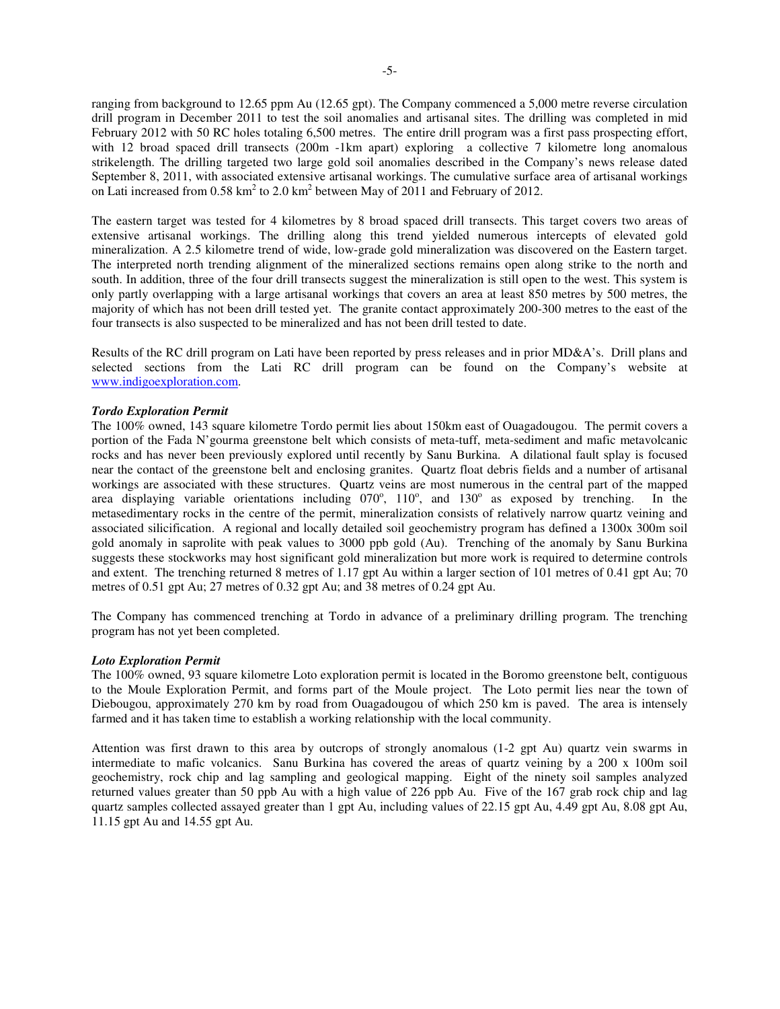ranging from background to 12.65 ppm Au (12.65 gpt). The Company commenced a 5,000 metre reverse circulation drill program in December 2011 to test the soil anomalies and artisanal sites. The drilling was completed in mid February 2012 with 50 RC holes totaling 6,500 metres. The entire drill program was a first pass prospecting effort, with 12 broad spaced drill transects (200m -1km apart) exploring a collective 7 kilometre long anomalous strikelength. The drilling targeted two large gold soil anomalies described in the Company's news release dated September 8, 2011, with associated extensive artisanal workings. The cumulative surface area of artisanal workings on Lati increased from  $0.58 \text{ km}^2$  to  $2.0 \text{ km}^2$  between May of  $2011$  and February of  $2012$ .

The eastern target was tested for 4 kilometres by 8 broad spaced drill transects. This target covers two areas of extensive artisanal workings. The drilling along this trend yielded numerous intercepts of elevated gold mineralization. A 2.5 kilometre trend of wide, low-grade gold mineralization was discovered on the Eastern target. The interpreted north trending alignment of the mineralized sections remains open along strike to the north and south. In addition, three of the four drill transects suggest the mineralization is still open to the west. This system is only partly overlapping with a large artisanal workings that covers an area at least 850 metres by 500 metres, the majority of which has not been drill tested yet. The granite contact approximately 200-300 metres to the east of the four transects is also suspected to be mineralized and has not been drill tested to date.

Results of the RC drill program on Lati have been reported by press releases and in prior MD&A's. Drill plans and selected sections from the Lati RC drill program can be found on the Company's website at www.indigoexploration.com.

#### *Tordo Exploration Permit*

The 100% owned, 143 square kilometre Tordo permit lies about 150km east of Ouagadougou. The permit covers a portion of the Fada N'gourma greenstone belt which consists of meta-tuff, meta-sediment and mafic metavolcanic rocks and has never been previously explored until recently by Sanu Burkina. A dilational fault splay is focused near the contact of the greenstone belt and enclosing granites. Quartz float debris fields and a number of artisanal workings are associated with these structures. Quartz veins are most numerous in the central part of the mapped area displaying variable orientations including 070°, 110°, and 130° as exposed by trenching. In the metasedimentary rocks in the centre of the permit, mineralization consists of relatively narrow quartz veining and associated silicification. A regional and locally detailed soil geochemistry program has defined a 1300x 300m soil gold anomaly in saprolite with peak values to 3000 ppb gold (Au). Trenching of the anomaly by Sanu Burkina suggests these stockworks may host significant gold mineralization but more work is required to determine controls and extent. The trenching returned 8 metres of 1.17 gpt Au within a larger section of 101 metres of 0.41 gpt Au; 70 metres of 0.51 gpt Au; 27 metres of 0.32 gpt Au; and 38 metres of 0.24 gpt Au.

The Company has commenced trenching at Tordo in advance of a preliminary drilling program. The trenching program has not yet been completed.

#### *Loto Exploration Permit*

The 100% owned, 93 square kilometre Loto exploration permit is located in the Boromo greenstone belt, contiguous to the Moule Exploration Permit, and forms part of the Moule project. The Loto permit lies near the town of Diebougou, approximately 270 km by road from Ouagadougou of which 250 km is paved. The area is intensely farmed and it has taken time to establish a working relationship with the local community.

Attention was first drawn to this area by outcrops of strongly anomalous (1-2 gpt Au) quartz vein swarms in intermediate to mafic volcanics. Sanu Burkina has covered the areas of quartz veining by a 200 x 100m soil geochemistry, rock chip and lag sampling and geological mapping. Eight of the ninety soil samples analyzed returned values greater than 50 ppb Au with a high value of 226 ppb Au. Five of the 167 grab rock chip and lag quartz samples collected assayed greater than 1 gpt Au, including values of 22.15 gpt Au, 4.49 gpt Au, 8.08 gpt Au, 11.15 gpt Au and 14.55 gpt Au.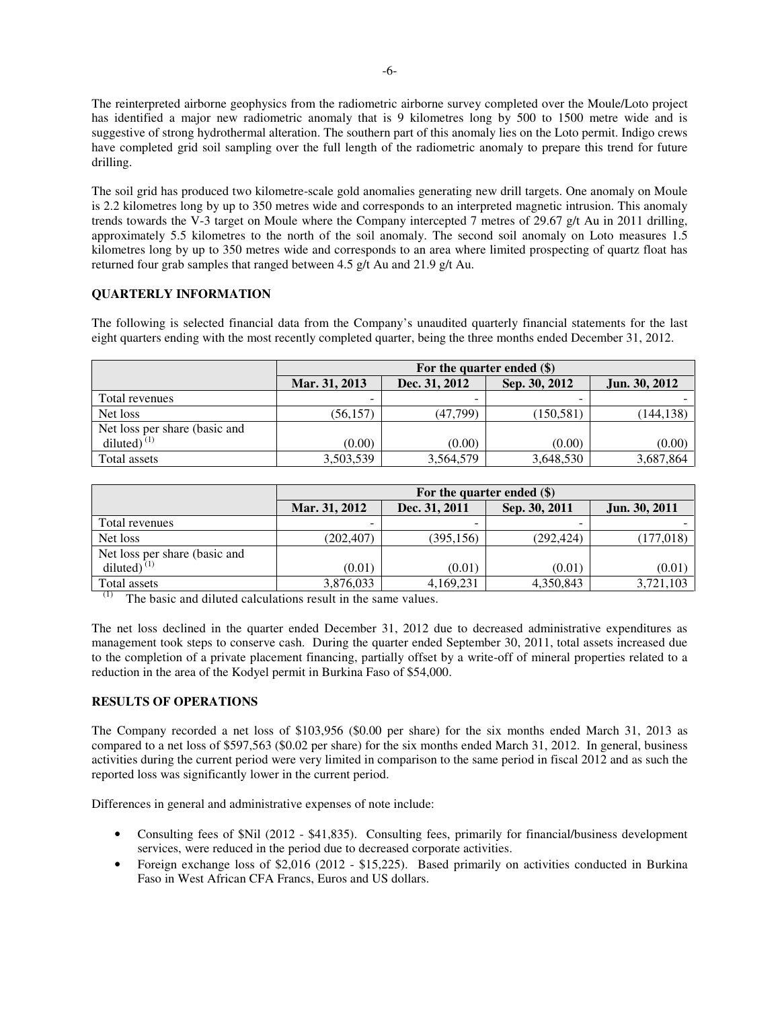The reinterpreted airborne geophysics from the radiometric airborne survey completed over the Moule/Loto project has identified a major new radiometric anomaly that is 9 kilometres long by 500 to 1500 metre wide and is suggestive of strong hydrothermal alteration. The southern part of this anomaly lies on the Loto permit. Indigo crews have completed grid soil sampling over the full length of the radiometric anomaly to prepare this trend for future drilling.

The soil grid has produced two kilometre-scale gold anomalies generating new drill targets. One anomaly on Moule is 2.2 kilometres long by up to 350 metres wide and corresponds to an interpreted magnetic intrusion. This anomaly trends towards the V-3 target on Moule where the Company intercepted 7 metres of 29.67 g/t Au in 2011 drilling, approximately 5.5 kilometres to the north of the soil anomaly. The second soil anomaly on Loto measures 1.5 kilometres long by up to 350 metres wide and corresponds to an area where limited prospecting of quartz float has returned four grab samples that ranged between 4.5 g/t Au and 21.9 g/t Au.

# **QUARTERLY INFORMATION**

The following is selected financial data from the Company's unaudited quarterly financial statements for the last eight quarters ending with the most recently completed quarter, being the three months ended December 31, 2012.

|                               | For the quarter ended $(\$)$ |               |               |                      |
|-------------------------------|------------------------------|---------------|---------------|----------------------|
|                               | Mar. 31, 2013                | Dec. 31, 2012 | Sep. 30, 2012 | <b>Jun. 30, 2012</b> |
| Total revenues                |                              |               |               |                      |
| Net loss                      | (56, 157)                    | (47,799)      | (150, 581)    | (144, 138)           |
| Net loss per share (basic and |                              |               |               |                      |
| diluted $\vec{a}^{(1)}$       | (0.00)                       | (0.00)        | (0.00)        | (0.00)               |
| Total assets                  | 3,503,539                    | 3,564,579     | 3,648,530     | 3,687,864            |

|                               | For the quarter ended $(\$)$ |               |               |               |
|-------------------------------|------------------------------|---------------|---------------|---------------|
|                               | Mar. 31, 2012                | Dec. 31, 2011 | Sep. 30, 2011 | Jun. 30, 2011 |
| Total revenues                |                              |               |               |               |
| Net loss                      | (202, 407)                   | (395, 156)    | (292, 424)    | (177, 018)    |
| Net loss per share (basic and |                              |               |               |               |
| diluted) $(1)$                | (0.01)                       | (0.01)        | (0.01)        | (0.01)        |
| Total assets                  | 3,876,033                    | 4,169,231     | 4,350,843     | 3,721,103     |

 $(1)$  The basic and diluted calculations result in the same values.

The net loss declined in the quarter ended December 31, 2012 due to decreased administrative expenditures as management took steps to conserve cash. During the quarter ended September 30, 2011, total assets increased due to the completion of a private placement financing, partially offset by a write-off of mineral properties related to a reduction in the area of the Kodyel permit in Burkina Faso of \$54,000.

## **RESULTS OF OPERATIONS**

The Company recorded a net loss of \$103,956 (\$0.00 per share) for the six months ended March 31, 2013 as compared to a net loss of \$597,563 (\$0.02 per share) for the six months ended March 31, 2012. In general, business activities during the current period were very limited in comparison to the same period in fiscal 2012 and as such the reported loss was significantly lower in the current period.

Differences in general and administrative expenses of note include:

- Consulting fees of \$Nil (2012 \$41,835). Consulting fees, primarily for financial/business development services, were reduced in the period due to decreased corporate activities.
- Foreign exchange loss of \$2,016 (2012 \$15,225). Based primarily on activities conducted in Burkina Faso in West African CFA Francs, Euros and US dollars.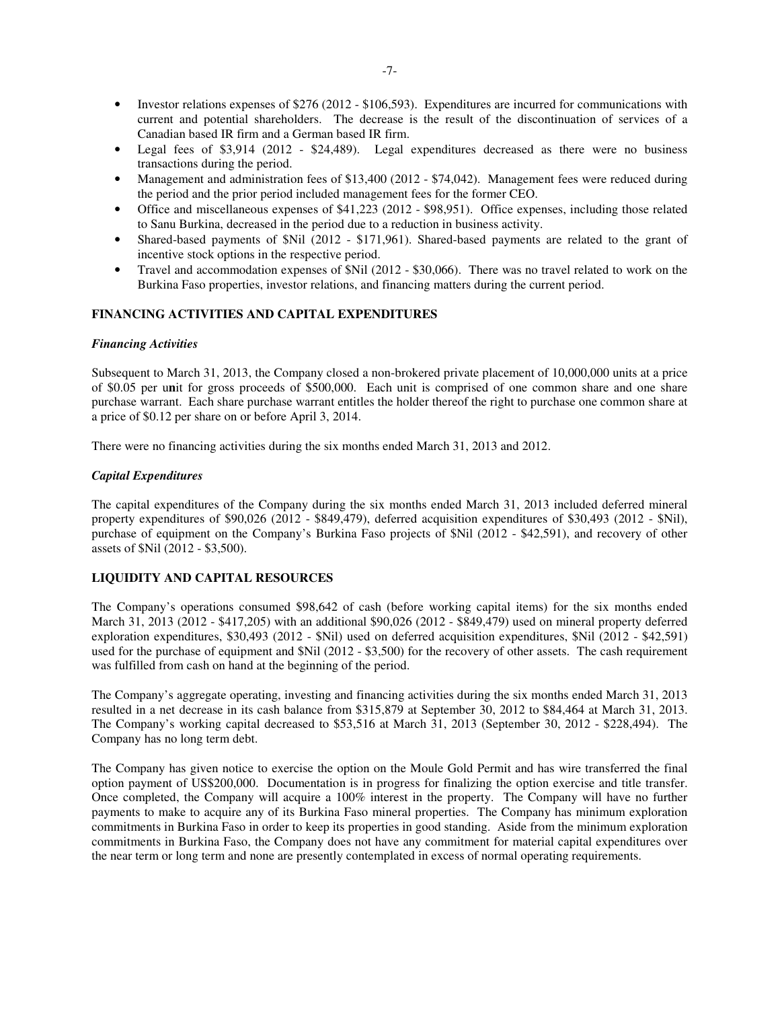- Investor relations expenses of \$276 (2012 \$106,593). Expenditures are incurred for communications with current and potential shareholders. The decrease is the result of the discontinuation of services of a Canadian based IR firm and a German based IR firm.
- Legal fees of \$3,914 (2012 \$24,489). Legal expenditures decreased as there were no business transactions during the period.
- Management and administration fees of \$13,400 (2012 \$74,042). Management fees were reduced during the period and the prior period included management fees for the former CEO.
- Office and miscellaneous expenses of \$41,223 (2012 \$98,951). Office expenses, including those related to Sanu Burkina, decreased in the period due to a reduction in business activity.
- Shared-based payments of \$Nil (2012 \$171,961). Shared-based payments are related to the grant of incentive stock options in the respective period.
- Travel and accommodation expenses of \$Nil (2012 \$30,066). There was no travel related to work on the Burkina Faso properties, investor relations, and financing matters during the current period.

## **FINANCING ACTIVITIES AND CAPITAL EXPENDITURES**

#### *Financing Activities*

Subsequent to March 31, 2013, the Company closed a non-brokered private placement of 10,000,000 units at a price of \$0.05 per u**n**it for gross proceeds of \$500,000. Each unit is comprised of one common share and one share purchase warrant. Each share purchase warrant entitles the holder thereof the right to purchase one common share at a price of \$0.12 per share on or before April 3, 2014.

There were no financing activities during the six months ended March 31, 2013 and 2012.

#### *Capital Expenditures*

The capital expenditures of the Company during the six months ended March 31, 2013 included deferred mineral property expenditures of \$90,026 (2012 - \$849,479), deferred acquisition expenditures of \$30,493 (2012 - \$Nil), purchase of equipment on the Company's Burkina Faso projects of \$Nil (2012 - \$42,591), and recovery of other assets of \$Nil (2012 - \$3,500).

## **LIQUIDITY AND CAPITAL RESOURCES**

The Company's operations consumed \$98,642 of cash (before working capital items) for the six months ended March 31, 2013 (2012 - \$417,205) with an additional \$90,026 (2012 - \$849,479) used on mineral property deferred exploration expenditures, \$30,493 (2012 - \$Nil) used on deferred acquisition expenditures, \$Nil (2012 - \$42,591) used for the purchase of equipment and \$Nil (2012 - \$3,500) for the recovery of other assets. The cash requirement was fulfilled from cash on hand at the beginning of the period.

The Company's aggregate operating, investing and financing activities during the six months ended March 31, 2013 resulted in a net decrease in its cash balance from \$315,879 at September 30, 2012 to \$84,464 at March 31, 2013. The Company's working capital decreased to \$53,516 at March 31, 2013 (September 30, 2012 - \$228,494). The Company has no long term debt.

The Company has given notice to exercise the option on the Moule Gold Permit and has wire transferred the final option payment of US\$200,000. Documentation is in progress for finalizing the option exercise and title transfer. Once completed, the Company will acquire a 100% interest in the property. The Company will have no further payments to make to acquire any of its Burkina Faso mineral properties. The Company has minimum exploration commitments in Burkina Faso in order to keep its properties in good standing. Aside from the minimum exploration commitments in Burkina Faso, the Company does not have any commitment for material capital expenditures over the near term or long term and none are presently contemplated in excess of normal operating requirements.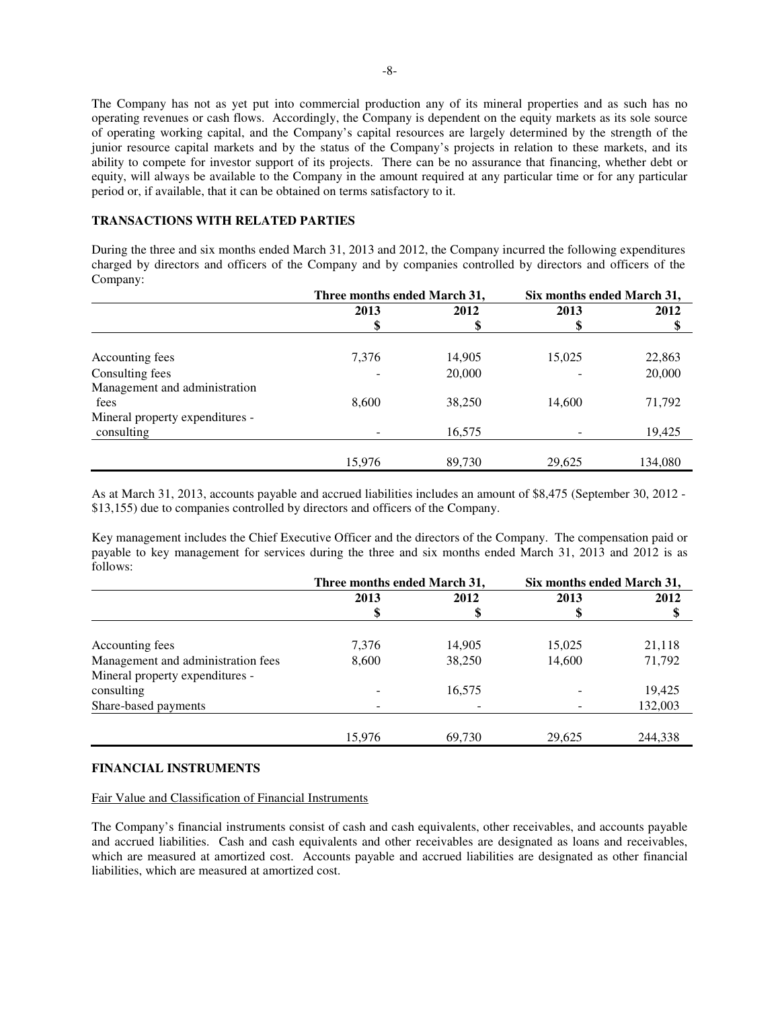The Company has not as yet put into commercial production any of its mineral properties and as such has no operating revenues or cash flows. Accordingly, the Company is dependent on the equity markets as its sole source of operating working capital, and the Company's capital resources are largely determined by the strength of the junior resource capital markets and by the status of the Company's projects in relation to these markets, and its ability to compete for investor support of its projects. There can be no assurance that financing, whether debt or equity, will always be available to the Company in the amount required at any particular time or for any particular period or, if available, that it can be obtained on terms satisfactory to it.

## **TRANSACTIONS WITH RELATED PARTIES**

During the three and six months ended March 31, 2013 and 2012, the Company incurred the following expenditures charged by directors and officers of the Company and by companies controlled by directors and officers of the Company:

|                                 | Three months ended March 31, |        | Six months ended March 31, |         |
|---------------------------------|------------------------------|--------|----------------------------|---------|
|                                 | 2013                         | 2012   | 2013                       | 2012    |
|                                 |                              | \$     |                            |         |
| Accounting fees                 | 7,376                        | 14,905 | 15,025                     | 22,863  |
| Consulting fees                 |                              | 20,000 |                            | 20,000  |
| Management and administration   |                              |        |                            |         |
| fees                            | 8,600                        | 38,250 | 14,600                     | 71,792  |
| Mineral property expenditures - |                              |        |                            |         |
| consulting                      |                              | 16,575 |                            | 19,425  |
|                                 |                              |        |                            |         |
|                                 | 15,976                       | 89,730 | 29,625                     | 134,080 |

As at March 31, 2013, accounts payable and accrued liabilities includes an amount of \$8,475 (September 30, 2012 - \$13,155) due to companies controlled by directors and officers of the Company.

Key management includes the Chief Executive Officer and the directors of the Company. The compensation paid or payable to key management for services during the three and six months ended March 31, 2013 and 2012 is as follows:

|                                    | Three months ended March 31, |        | Six months ended March 31, |         |
|------------------------------------|------------------------------|--------|----------------------------|---------|
|                                    | 2013                         | 2012   | 2013                       | 2012    |
|                                    |                              | \$     | Φ                          | \$      |
| Accounting fees                    | 7,376                        | 14,905 | 15,025                     | 21,118  |
| Management and administration fees | 8,600                        | 38,250 | 14,600                     | 71,792  |
| Mineral property expenditures -    |                              |        |                            |         |
| consulting                         |                              | 16,575 |                            | 19,425  |
| Share-based payments               |                              |        |                            | 132,003 |
|                                    |                              |        |                            |         |
|                                    | 15,976                       | 69,730 | 29,625                     | 244,338 |

## **FINANCIAL INSTRUMENTS**

#### Fair Value and Classification of Financial Instruments

The Company's financial instruments consist of cash and cash equivalents, other receivables, and accounts payable and accrued liabilities. Cash and cash equivalents and other receivables are designated as loans and receivables, which are measured at amortized cost. Accounts payable and accrued liabilities are designated as other financial liabilities, which are measured at amortized cost.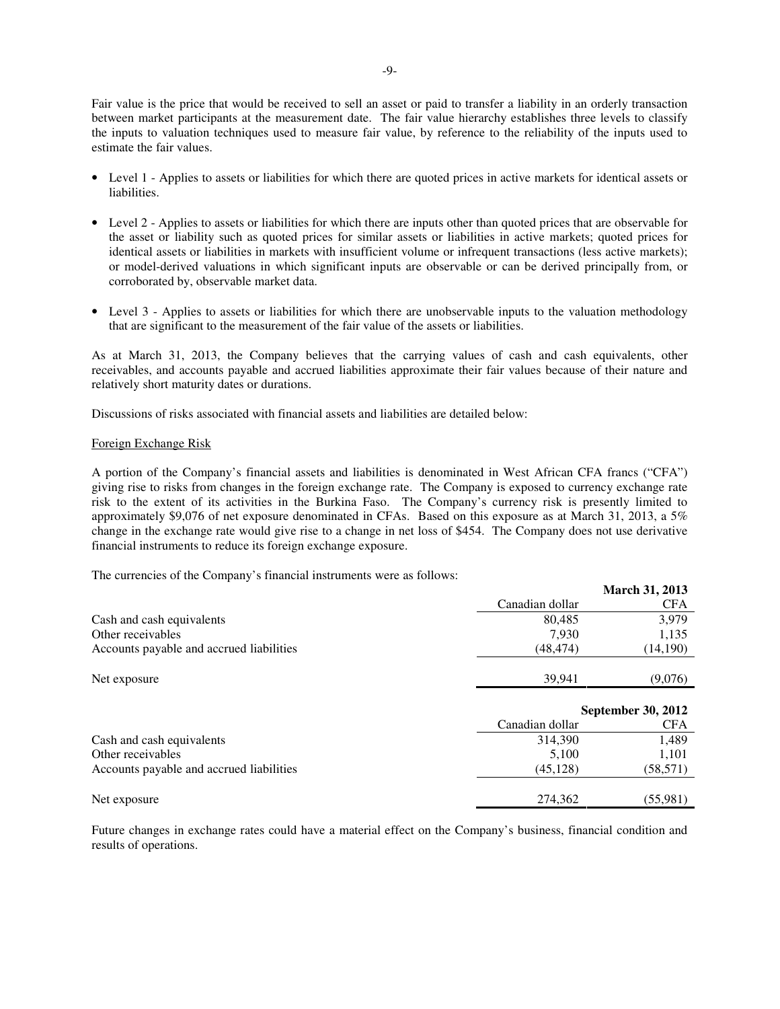Fair value is the price that would be received to sell an asset or paid to transfer a liability in an orderly transaction between market participants at the measurement date. The fair value hierarchy establishes three levels to classify the inputs to valuation techniques used to measure fair value, by reference to the reliability of the inputs used to estimate the fair values.

- Level 1 Applies to assets or liabilities for which there are quoted prices in active markets for identical assets or liabilities.
- Level 2 Applies to assets or liabilities for which there are inputs other than quoted prices that are observable for the asset or liability such as quoted prices for similar assets or liabilities in active markets; quoted prices for identical assets or liabilities in markets with insufficient volume or infrequent transactions (less active markets); or model-derived valuations in which significant inputs are observable or can be derived principally from, or corroborated by, observable market data.
- Level 3 Applies to assets or liabilities for which there are unobservable inputs to the valuation methodology that are significant to the measurement of the fair value of the assets or liabilities.

As at March 31, 2013, the Company believes that the carrying values of cash and cash equivalents, other receivables, and accounts payable and accrued liabilities approximate their fair values because of their nature and relatively short maturity dates or durations.

Discussions of risks associated with financial assets and liabilities are detailed below:

#### Foreign Exchange Risk

A portion of the Company's financial assets and liabilities is denominated in West African CFA francs ("CFA") giving rise to risks from changes in the foreign exchange rate. The Company is exposed to currency exchange rate risk to the extent of its activities in the Burkina Faso. The Company's currency risk is presently limited to approximately \$9,076 of net exposure denominated in CFAs. Based on this exposure as at March 31, 2013, a 5% change in the exchange rate would give rise to a change in net loss of \$454. The Company does not use derivative financial instruments to reduce its foreign exchange exposure.

**March 31, 2013** 

The currencies of the Company's financial instruments were as follows:

|                                          |                 | <b>March 31, 2013</b>     |  |
|------------------------------------------|-----------------|---------------------------|--|
|                                          | Canadian dollar | <b>CFA</b>                |  |
| Cash and cash equivalents                | 80,485          | 3,979                     |  |
| Other receivables                        | 7,930           | 1,135                     |  |
| Accounts payable and accrued liabilities | (48, 474)       | (14, 190)                 |  |
|                                          |                 |                           |  |
| Net exposure                             | 39,941          | (9,076)                   |  |
|                                          |                 |                           |  |
|                                          |                 | <b>September 30, 2012</b> |  |
|                                          | Canadian dollar | <b>CFA</b>                |  |
| Cash and cash equivalents                | 314,390         | 1,489                     |  |
| Other receivables                        | 5,100           | 1,101                     |  |
| Accounts payable and accrued liabilities | (45, 128)       | (58, 571)                 |  |
|                                          |                 |                           |  |
| Net exposure                             | 274,362         | (55,981)                  |  |

Future changes in exchange rates could have a material effect on the Company's business, financial condition and results of operations.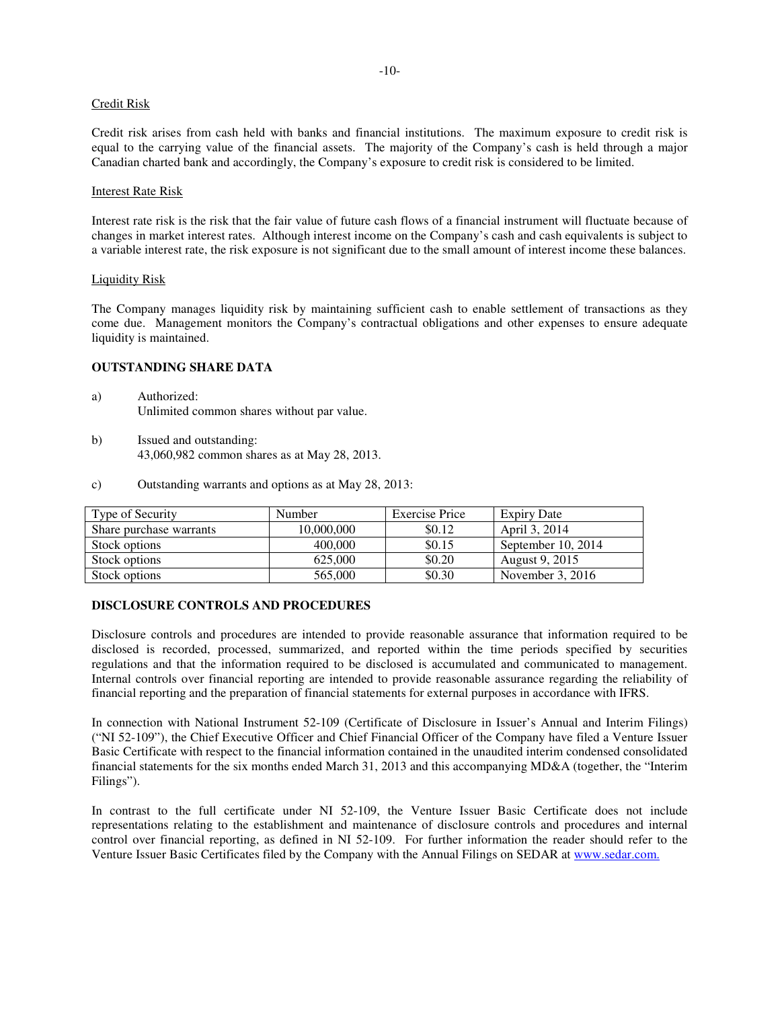#### Credit Risk

Credit risk arises from cash held with banks and financial institutions. The maximum exposure to credit risk is equal to the carrying value of the financial assets. The majority of the Company's cash is held through a major Canadian charted bank and accordingly, the Company's exposure to credit risk is considered to be limited.

#### Interest Rate Risk

Interest rate risk is the risk that the fair value of future cash flows of a financial instrument will fluctuate because of changes in market interest rates. Although interest income on the Company's cash and cash equivalents is subject to a variable interest rate, the risk exposure is not significant due to the small amount of interest income these balances.

#### Liquidity Risk

The Company manages liquidity risk by maintaining sufficient cash to enable settlement of transactions as they come due. Management monitors the Company's contractual obligations and other expenses to ensure adequate liquidity is maintained.

# **OUTSTANDING SHARE DATA**

- a) Authorized: Unlimited common shares without par value.
- b) Issued and outstanding: 43,060,982 common shares as at May 28, 2013.
- c) Outstanding warrants and options as at May 28, 2013:

| Type of Security        | <b>Number</b> | Exercise Price | <b>Expiry Date</b>    |
|-------------------------|---------------|----------------|-----------------------|
| Share purchase warrants | 10.000.000    | \$0.12         | April 3, 2014         |
| Stock options           | 400,000       | \$0.15         | September 10, 2014    |
| Stock options           | 625,000       | \$0.20         | <b>August 9, 2015</b> |
| Stock options           | 565,000       | \$0.30         | November 3, $2016$    |

#### **DISCLOSURE CONTROLS AND PROCEDURES**

Disclosure controls and procedures are intended to provide reasonable assurance that information required to be disclosed is recorded, processed, summarized, and reported within the time periods specified by securities regulations and that the information required to be disclosed is accumulated and communicated to management. Internal controls over financial reporting are intended to provide reasonable assurance regarding the reliability of financial reporting and the preparation of financial statements for external purposes in accordance with IFRS.

In connection with National Instrument 52-109 (Certificate of Disclosure in Issuer's Annual and Interim Filings) ("NI 52-109"), the Chief Executive Officer and Chief Financial Officer of the Company have filed a Venture Issuer Basic Certificate with respect to the financial information contained in the unaudited interim condensed consolidated financial statements for the six months ended March 31, 2013 and this accompanying MD&A (together, the "Interim Filings").

In contrast to the full certificate under NI 52-109, the Venture Issuer Basic Certificate does not include representations relating to the establishment and maintenance of disclosure controls and procedures and internal control over financial reporting, as defined in NI 52-109. For further information the reader should refer to the Venture Issuer Basic Certificates filed by the Company with the Annual Filings on SEDAR at www.sedar.com.